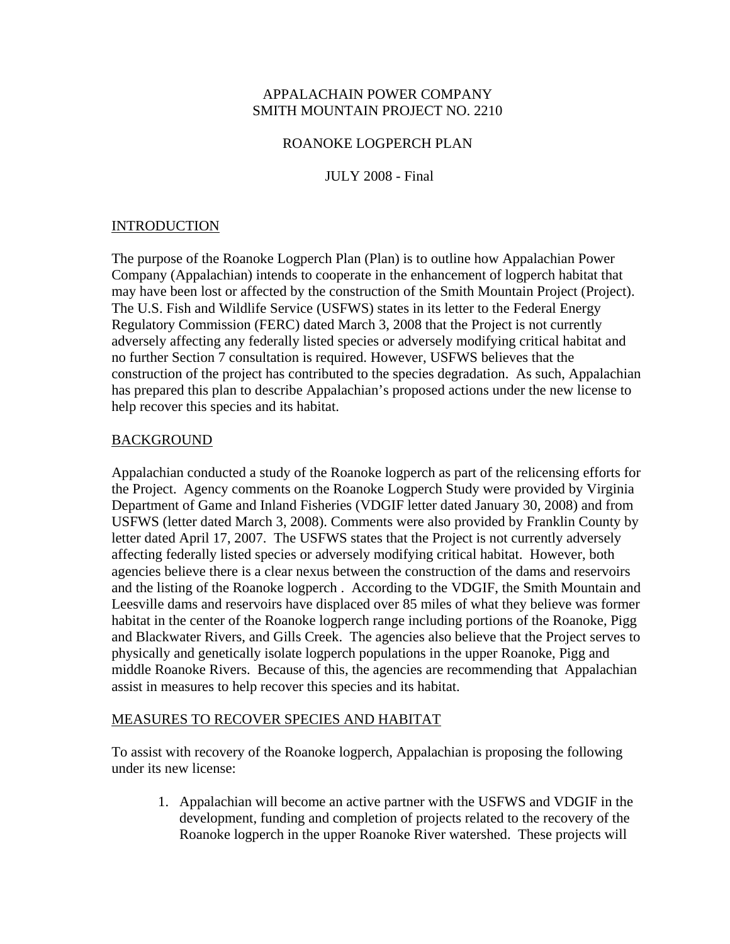## APPALACHAIN POWER COMPANY SMITH MOUNTAIN PROJECT NO. 2210

#### ROANOKE LOGPERCH PLAN

### JULY 2008 - Final

## INTRODUCTION

The purpose of the Roanoke Logperch Plan (Plan) is to outline how Appalachian Power Company (Appalachian) intends to cooperate in the enhancement of logperch habitat that may have been lost or affected by the construction of the Smith Mountain Project (Project). The U.S. Fish and Wildlife Service (USFWS) states in its letter to the Federal Energy Regulatory Commission (FERC) dated March 3, 2008 that the Project is not currently adversely affecting any federally listed species or adversely modifying critical habitat and no further Section 7 consultation is required. However, USFWS believes that the construction of the project has contributed to the species degradation. As such, Appalachian has prepared this plan to describe Appalachian's proposed actions under the new license to help recover this species and its habitat.

#### BACKGROUND

Appalachian conducted a study of the Roanoke logperch as part of the relicensing efforts for the Project. Agency comments on the Roanoke Logperch Study were provided by Virginia Department of Game and Inland Fisheries (VDGIF letter dated January 30, 2008) and from USFWS (letter dated March 3, 2008). Comments were also provided by Franklin County by letter dated April 17, 2007. The USFWS states that the Project is not currently adversely affecting federally listed species or adversely modifying critical habitat. However, both agencies believe there is a clear nexus between the construction of the dams and reservoirs and the listing of the Roanoke logperch . According to the VDGIF, the Smith Mountain and Leesville dams and reservoirs have displaced over 85 miles of what they believe was former habitat in the center of the Roanoke logperch range including portions of the Roanoke, Pigg and Blackwater Rivers, and Gills Creek. The agencies also believe that the Project serves to physically and genetically isolate logperch populations in the upper Roanoke, Pigg and middle Roanoke Rivers. Because of this, the agencies are recommending that Appalachian assist in measures to help recover this species and its habitat.

#### MEASURES TO RECOVER SPECIES AND HABITAT

To assist with recovery of the Roanoke logperch, Appalachian is proposing the following under its new license:

1. Appalachian will become an active partner with the USFWS and VDGIF in the development, funding and completion of projects related to the recovery of the Roanoke logperch in the upper Roanoke River watershed. These projects will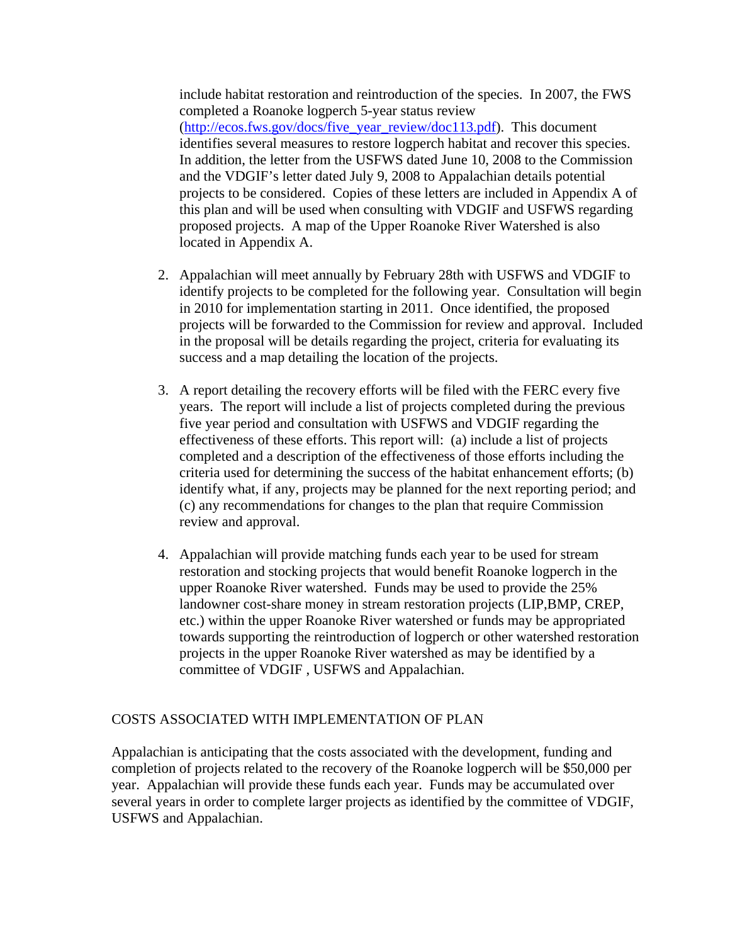include habitat restoration and reintroduction of the species. In 2007, the FWS completed a Roanoke logperch 5-year status review (http://ecos.fws.gov/docs/five\_year\_review/doc113.pdf). This document identifies several measures to restore logperch habitat and recover this species. In addition, the letter from the USFWS dated June 10, 2008 to the Commission and the VDGIF's letter dated July 9, 2008 to Appalachian details potential projects to be considered. Copies of these letters are included in Appendix A of this plan and will be used when consulting with VDGIF and USFWS regarding proposed projects. A map of the Upper Roanoke River Watershed is also located in Appendix A.

- 2. Appalachian will meet annually by February 28th with USFWS and VDGIF to identify projects to be completed for the following year. Consultation will begin in 2010 for implementation starting in 2011. Once identified, the proposed projects will be forwarded to the Commission for review and approval. Included in the proposal will be details regarding the project, criteria for evaluating its success and a map detailing the location of the projects.
- 3. A report detailing the recovery efforts will be filed with the FERC every five years. The report will include a list of projects completed during the previous five year period and consultation with USFWS and VDGIF regarding the effectiveness of these efforts. This report will: (a) include a list of projects completed and a description of the effectiveness of those efforts including the criteria used for determining the success of the habitat enhancement efforts; (b) identify what, if any, projects may be planned for the next reporting period; and (c) any recommendations for changes to the plan that require Commission review and approval.
- 4. Appalachian will provide matching funds each year to be used for stream restoration and stocking projects that would benefit Roanoke logperch in the upper Roanoke River watershed. Funds may be used to provide the 25% landowner cost-share money in stream restoration projects (LIP,BMP, CREP, etc.) within the upper Roanoke River watershed or funds may be appropriated towards supporting the reintroduction of logperch or other watershed restoration projects in the upper Roanoke River watershed as may be identified by a committee of VDGIF , USFWS and Appalachian.

#### COSTS ASSOCIATED WITH IMPLEMENTATION OF PLAN

Appalachian is anticipating that the costs associated with the development, funding and completion of projects related to the recovery of the Roanoke logperch will be \$50,000 per year. Appalachian will provide these funds each year. Funds may be accumulated over several years in order to complete larger projects as identified by the committee of VDGIF, USFWS and Appalachian.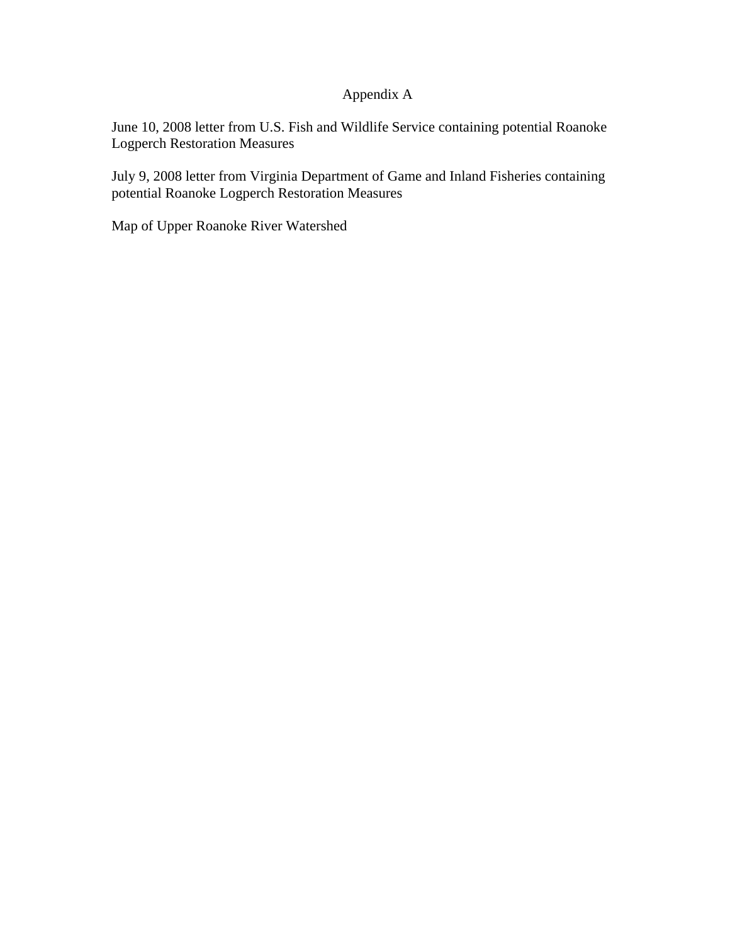# Appendix A

June 10, 2008 letter from U.S. Fish and Wildlife Service containing potential Roanoke Logperch Restoration Measures

July 9, 2008 letter from Virginia Department of Game and Inland Fisheries containing potential Roanoke Logperch Restoration Measures

Map of Upper Roanoke River Watershed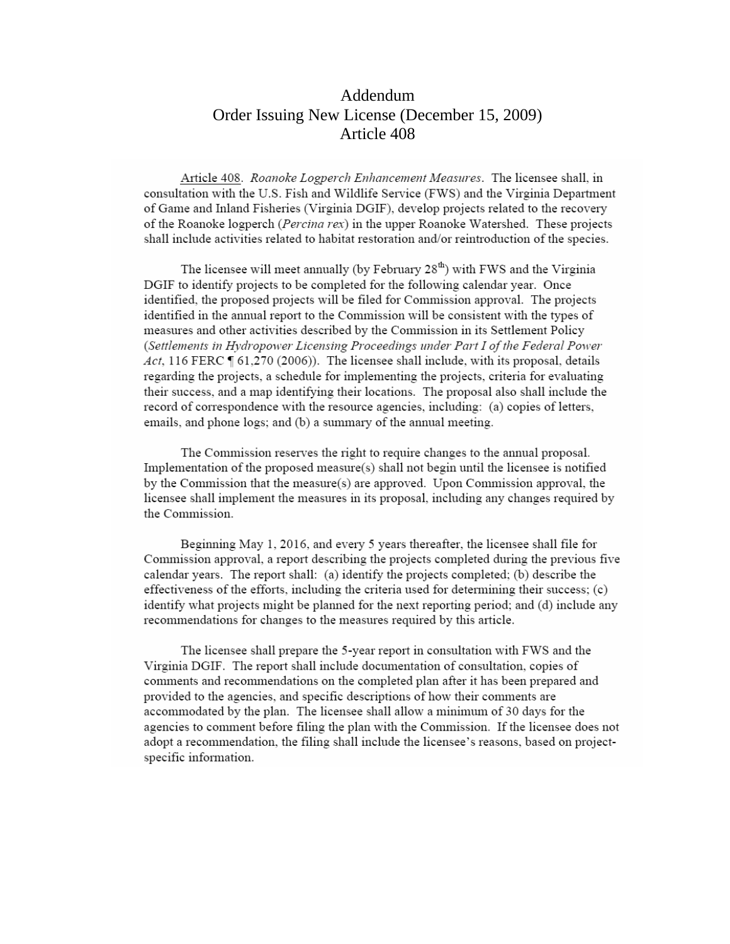# Addendum Order Issuing New License (December 15, 2009) Article 408

Article 408. Roanoke Logperch Enhancement Measures. The licensee shall, in consultation with the U.S. Fish and Wildlife Service (FWS) and the Virginia Department of Game and Inland Fisheries (Virginia DGIF), develop projects related to the recovery of the Roanoke logperch (Percina rex) in the upper Roanoke Watershed. These projects shall include activities related to habitat restoration and/or reintroduction of the species.

The licensee will meet annually (by February 28<sup>th</sup>) with FWS and the Virginia DGIF to identify projects to be completed for the following calendar year. Once identified, the proposed projects will be filed for Commission approval. The projects identified in the annual report to the Commission will be consistent with the types of measures and other activities described by the Commission in its Settlement Policy (Settlements in Hydropower Licensing Proceedings under Part I of the Federal Power Act, 116 FERC  $\P$  61,270 (2006)). The licensee shall include, with its proposal, details regarding the projects, a schedule for implementing the projects, criteria for evaluating their success, and a map identifying their locations. The proposal also shall include the record of correspondence with the resource agencies, including: (a) copies of letters, emails, and phone logs; and (b) a summary of the annual meeting.

The Commission reserves the right to require changes to the annual proposal. Implementation of the proposed measure(s) shall not begin until the licensee is notified by the Commission that the measure(s) are approved. Upon Commission approval, the licensee shall implement the measures in its proposal, including any changes required by the Commission.

Beginning May 1, 2016, and every 5 years thereafter, the licensee shall file for Commission approval, a report describing the projects completed during the previous five calendar years. The report shall: (a) identify the projects completed; (b) describe the effectiveness of the efforts, including the criteria used for determining their success; (c) identify what projects might be planned for the next reporting period; and (d) include any recommendations for changes to the measures required by this article.

The licensee shall prepare the 5-year report in consultation with FWS and the Virginia DGIF. The report shall include documentation of consultation, copies of comments and recommendations on the completed plan after it has been prepared and provided to the agencies, and specific descriptions of how their comments are accommodated by the plan. The licensee shall allow a minimum of 30 days for the agencies to comment before filing the plan with the Commission. If the licensee does not adopt a recommendation, the filing shall include the licensee's reasons, based on projectspecific information.